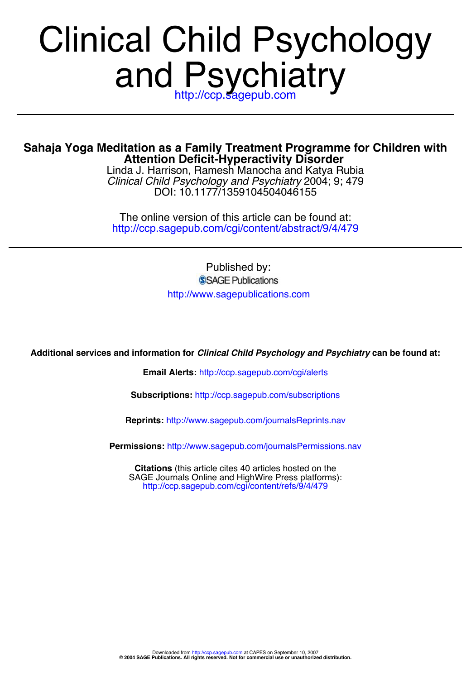# and Psychiatry Clinical Child Psychology

### **Attention Deficit-Hyperactivity Disorder Sahaja Yoga Meditation as a Family Treatment Programme for Children with**

DOI: 10.1177/1359104504046155 *Clinical Child Psychology and Psychiatry* 2004; 9; 479 Linda J. Harrison, Ramesh Manocha and Katya Rubia

http://ccp.sagepub.com/cgi/content/abstract/9/4/479 The online version of this article can be found at:

> Published by: SSAGE Publications http://www.sagepublications.com

**Additional services and information for** *Clinical Child Psychology and Psychiatry* **can be found at:**

**Email Alerts:** <http://ccp.sagepub.com/cgi/alerts>

**Subscriptions:** <http://ccp.sagepub.com/subscriptions>

**Reprints:** <http://www.sagepub.com/journalsReprints.nav>

**Permissions:** <http://www.sagepub.com/journalsPermissions.nav>

<http://ccp.sagepub.com/cgi/content/refs/9/4/479> SAGE Journals Online and HighWire Press platforms): **Citations** (this article cites 40 articles hosted on the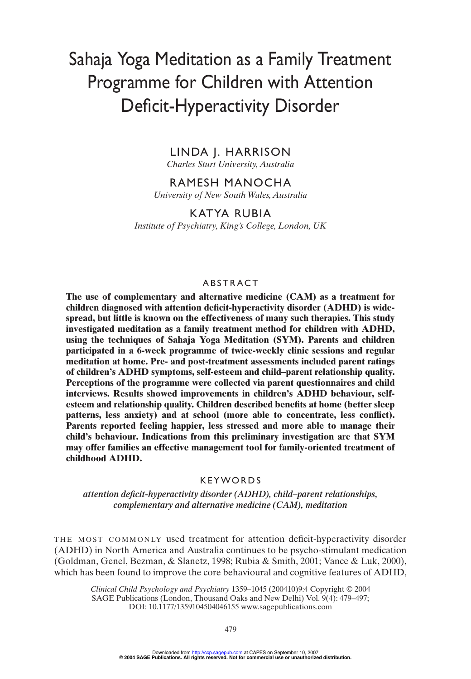## Sahaja Yoga Meditation as a Family Treatment Programme for Children with Attention Deficit-Hyperactivity Disorder

[LINDA J. HARRISON](#page-2-0)

*Charles Sturt University, Australia*

[RAMESH MANOCHA](#page-2-0) *University of New South Wales, Australia*

[KATYA RUBIA](#page-2-0) *Institute of Psychiatry, King's College, London, UK*

#### ABSTRACT

**The use of complementary and alternative medicine (CAM) as a treatment for children diagnosed with attention deficit-hyperactivity disorder (ADHD) is widespread, but little is known on the effectiveness of many such therapies. This study investigated meditation as a family treatment method for children with ADHD, using the techniques of Sahaja Yoga Meditation (SYM). Parents and children participated in a 6-week programme of twice-weekly clinic sessions and regular meditation at home. Pre- and post-treatment assessments included parent ratings of children's ADHD symptoms, self-esteem and child–parent relationship quality. Perceptions of the programme were collected via parent questionnaires and child interviews. Results showed improvements in children's ADHD behaviour, selfesteem and relationship quality. Children described benefits at home (better sleep patterns, less anxiety) and at school (more able to concentrate, less conflict). Parents reported feeling happier, less stressed and more able to manage their child's behaviour. Indications from this preliminary investigation are that SYM may offer families an effective management tool for family-oriented treatment of childhood ADHD.**

#### KEYWORDS

*attention deficit-hyperactivity disorder (ADHD), child–parent relationships, complementary and alternative medicine (CAM), meditation*

THE MOST COMMONLY used treatment for attention deficit-hyperactivity disorder (ADHD) in North America and Australia continues to be psycho-stimulant medication (Goldman, Genel, Bezman, & Slanetz, 1998; Rubia & Smith, 2001; Vance & Luk, 2000), which has been found to improve the core behavioural and cognitive features of ADHD,

*Clinical Child Psychology and Psychiatry* 1359–1045 (200410)9:4 Copyright © 2004 SAGE Publications (London, Thousand Oaks and New Delhi) Vol. 9(4): 479–497; DOI: 10.1177/1359104504046155<www.sagepublications.com>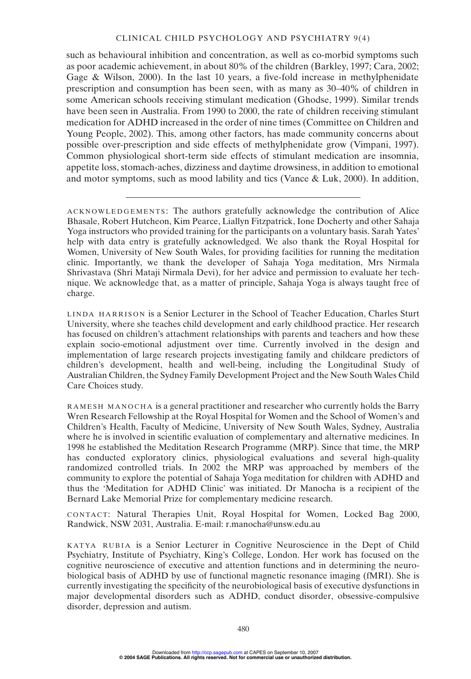<span id="page-2-0"></span>such as behavioural inhibition and concentration, as well as co-morbid symptoms such as poor academic achievement, in about 80% of the children (Barkley, 1997; Cara, 2002; Gage & Wilson, 2000). In the last 10 years, a five-fold increase in methylphenidate prescription and consumption has been seen, with as many as 30–40% of children in some American schools receiving stimulant medication (Ghodse, 1999). Similar trends have been seen in Australia. From 1990 to 2000, the rate of children receiving stimulant medication for ADHD increased in the order of nine times (Committee on Children and Young People, 2002). This, among other factors, has made community concerns about possible over-prescription and side effects of methylphenidate grow (Vimpani, 1997). Common physiological short-term side effects of stimulant medication are insomnia, appetite loss, stomach-aches, dizziness and daytime drowsiness, in addition to emotional and motor symptoms, such as mood lability and tics (Vance & Luk, 2000). In addition,

ACKNOWLEDGEMENTS : The authors gratefully acknowledge the contribution of Alice Bhasale, Robert Hutcheon, Kim Pearce, Liallyn Fitzpatrick, Ione Docherty and other Sahaja Yoga instructors who provided training for the participants on a voluntary basis. Sarah Yates' help with data entry is gratefully acknowledged. We also thank the Royal Hospital for Women, University of New South Wales, for providing facilities for running the meditation clinic. Importantly, we thank the developer of Sahaja Yoga meditation, Mrs Nirmala Shrivastava (Shri Mataji Nirmala Devi), for her advice and permission to evaluate her technique. We acknowledge that, as a matter of principle, Sahaja Yoga is always taught free of charge.

LINDA HARRISON is a Senior Lecturer in the School of Teacher Education, Charles Sturt University, where she teaches child development and early childhood practice. Her research has focused on children's attachment relationships with parents and teachers and how these explain socio-emotional adjustment over time. Currently involved in the design and implementation of large research projects investigating family and childcare predictors of children's development, health and well-being, including the Longitudinal Study of Australian Children, the Sydney Family Development Project and the New South Wales Child Care Choices study.

RAMESH MANOCHA is a general practitioner and researcher who currently holds the Barry Wren Research Fellowship at the Royal Hospital for Women and the School of Women's and Children's Health, Faculty of Medicine, University of New South Wales, Sydney, Australia where he is involved in scientific evaluation of complementary and alternative medicines. In 1998 he established the Meditation Research Programme (MRP). Since that time, the MRP has conducted exploratory clinics, physiological evaluations and several high-quality randomized controlled trials. In 2002 the MRP was approached by members of the community to explore the potential of Sahaja Yoga meditation for children with ADHD and thus the 'Meditation for ADHD Clinic' was initiated. Dr Manocha is a recipient of the Bernard Lake Memorial Prize for complementary medicine research.

CONTACT: Natural Therapies Unit, Royal Hospital for Women, Locked Bag 2000, Randwick, NSW 2031, Australia. E-mail: r.manocha@unsw.edu.au

KATYA RUBIA is a Senior Lecturer in Cognitive Neuroscience in the Dept of Child Psychiatry, Institute of Psychiatry, King's College, London. Her work has focused on the cognitive neuroscience of executive and attention functions and in determining the neurobiological basis of ADHD by use of functional magnetic resonance imaging (fMRI). She is currently investigating the specificity of the neurobiological basis of executive dysfunctions in major developmental disorders such as ADHD, conduct disorder, obsessive-compulsive disorder, depression and autism.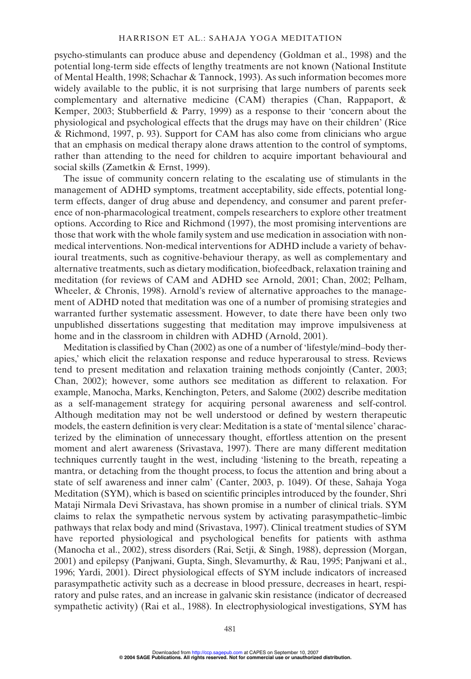psycho-stimulants can produce abuse and dependency (Goldman et al., 1998) and the potential long-term side effects of lengthy treatments are not known (National Institute of Mental Health, 1998; Schachar & Tannock, 1993). As such information becomes more widely available to the public, it is not surprising that large numbers of parents seek complementary and alternative medicine (CAM) therapies (Chan, Rappaport, & Kemper, 2003; Stubberfield & Parry, 1999) as a response to their 'concern about the physiological and psychological effects that the drugs may have on their children' (Rice & Richmond, 1997, p. 93). Support for CAM has also come from clinicians who argue that an emphasis on medical therapy alone draws attention to the control of symptoms, rather than attending to the need for children to acquire important behavioural and social skills (Zametkin & Ernst, 1999).

The issue of community concern relating to the escalating use of stimulants in the management of ADHD symptoms, treatment acceptability, side effects, potential longterm effects, danger of drug abuse and dependency, and consumer and parent preference of non-pharmacological treatment, compels researchers to explore other treatment options. According to Rice and Richmond (1997), the most promising interventions are those that work with the whole family system and use medication in association with nonmedical interventions. Non-medical interventions for ADHD include a variety of behavioural treatments, such as cognitive-behaviour therapy, as well as complementary and alternative treatments, such as dietary modification, biofeedback, relaxation training and meditation (for reviews of CAM and ADHD see Arnold, 2001; Chan, 2002; Pelham, Wheeler, & Chronis, 1998). Arnold's review of alternative approaches to the management of ADHD noted that meditation was one of a number of promising strategies and warranted further systematic assessment. However, to date there have been only two unpublished dissertations suggesting that meditation may improve impulsiveness at home and in the classroom in children with ADHD (Arnold, 2001).

Meditation is classified by Chan (2002) as one of a number of 'lifestyle/mind–body therapies,' which elicit the relaxation response and reduce hyperarousal to stress. Reviews tend to present meditation and relaxation training methods conjointly (Canter, 2003; Chan, 2002); however, some authors see meditation as different to relaxation. For example, Manocha, Marks, Kenchington, Peters, and Salome (2002) describe meditation as a self-management strategy for acquiring personal awareness and self-control. Although meditation may not be well understood or defined by western therapeutic models, the eastern definition is very clear: Meditation is a state of 'mental silence' characterized by the elimination of unnecessary thought, effortless attention on the present moment and alert awareness (Srivastava, 1997). There are many different meditation techniques currently taught in the west, including 'listening to the breath, repeating a mantra, or detaching from the thought process, to focus the attention and bring about a state of self awareness and inner calm' (Canter, 2003, p. 1049). Of these, Sahaja Yoga Meditation (SYM), which is based on scientific principles introduced by the founder, Shri Mataji Nirmala Devi Srivastava, has shown promise in a number of clinical trials. SYM claims to relax the sympathetic nervous system by activating parasympathetic–limbic pathways that relax body and mind (Srivastava, 1997). Clinical treatment studies of SYM have reported physiological and psychological benefits for patients with asthma (Manocha et al., 2002), stress disorders (Rai, Setji, & Singh, 1988), depression (Morgan, 2001) and epilepsy (Panjwani, Gupta, Singh, Slevamurthy, & Rau, 1995; Panjwani et al., 1996; Yardi, 2001). Direct physiological effects of SYM include indicators of increased parasympathetic activity such as a decrease in blood pressure, decreases in heart, respiratory and pulse rates, and an increase in galvanic skin resistance (indicator of decreased sympathetic activity) (Rai et al., 1988). In electrophysiological investigations, SYM has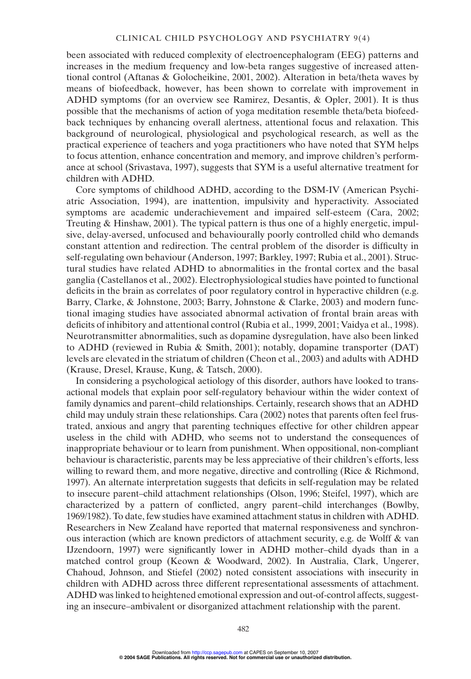been associated with reduced complexity of electroencephalogram (EEG) patterns and increases in the medium frequency and low-beta ranges suggestive of increased attentional control (Aftanas & Golocheikine, 2001, 2002). Alteration in beta/theta waves by means of biofeedback, however, has been shown to correlate with improvement in ADHD symptoms (for an overview see Ramirez, Desantis, & Opler, 2001). It is thus possible that the mechanisms of action of yoga meditation resemble theta/beta biofeedback techniques by enhancing overall alertness, attentional focus and relaxation. This background of neurological, physiological and psychological research, as well as the practical experience of teachers and yoga practitioners who have noted that SYM helps to focus attention, enhance concentration and memory, and improve children's performance at school (Srivastava, 1997), suggests that SYM is a useful alternative treatment for children with ADHD.

Core symptoms of childhood ADHD, according to the DSM-IV (American Psychiatric Association, 1994), are inattention, impulsivity and hyperactivity. Associated symptoms are academic underachievement and impaired self-esteem (Cara, 2002; Treuting  $&$  Hinshaw, 2001). The typical pattern is thus one of a highly energetic, impulsive, delay-aversed, unfocused and behaviourally poorly controlled child who demands constant attention and redirection. The central problem of the disorder is difficulty in self-regulating own behaviour (Anderson, 1997; Barkley, 1997; Rubia et al., 2001). Structural studies have related ADHD to abnormalities in the frontal cortex and the basal ganglia (Castellanos et al., 2002). Electrophysiological studies have pointed to functional deficits in the brain as correlates of poor regulatory control in hyperactive children (e.g. Barry, Clarke, & Johnstone, 2003; Barry, Johnstone & Clarke, 2003) and modern functional imaging studies have associated abnormal activation of frontal brain areas with deficits of inhibitory and attentional control (Rubia et al., 1999, 2001; Vaidya et al., 1998). Neurotransmitter abnormalities, such as dopamine dysregulation, have also been linked to ADHD (reviewed in Rubia & Smith, 2001); notably, dopamine transporter (DAT) levels are elevated in the striatum of children (Cheon et al., 2003) and adults with ADHD (Krause, Dresel, Krause, Kung, & Tatsch, 2000).

In considering a psychological aetiology of this disorder, authors have looked to transactional models that explain poor self-regulatory behaviour within the wider context of family dynamics and parent–child relationships. Certainly, research shows that an ADHD child may unduly strain these relationships. Cara (2002) notes that parents often feel frustrated, anxious and angry that parenting techniques effective for other children appear useless in the child with ADHD, who seems not to understand the consequences of inappropriate behaviour or to learn from punishment. When oppositional, non-compliant behaviour is characteristic, parents may be less appreciative of their children's efforts, less willing to reward them, and more negative, directive and controlling (Rice & Richmond, 1997). An alternate interpretation suggests that deficits in self-regulation may be related to insecure parent–child attachment relationships (Olson, 1996; Steifel, 1997), which are characterized by a pattern of conflicted, angry parent–child interchanges (Bowlby, 1969/1982). To date, few studies have examined attachment status in children with ADHD. Researchers in New Zealand have reported that maternal responsiveness and synchronous interaction (which are known predictors of attachment security, e.g. de Wolff & van IJzendoorn, 1997) were significantly lower in ADHD mother–child dyads than in a matched control group (Keown & Woodward, 2002). In Australia, Clark, Ungerer, Chahoud, Johnson, and Stiefel (2002) noted consistent associations with insecurity in children with ADHD across three different representational assessments of attachment. ADHD was linked to heightened emotional expression and out-of-control affects, suggesting an insecure–ambivalent or disorganized attachment relationship with the parent.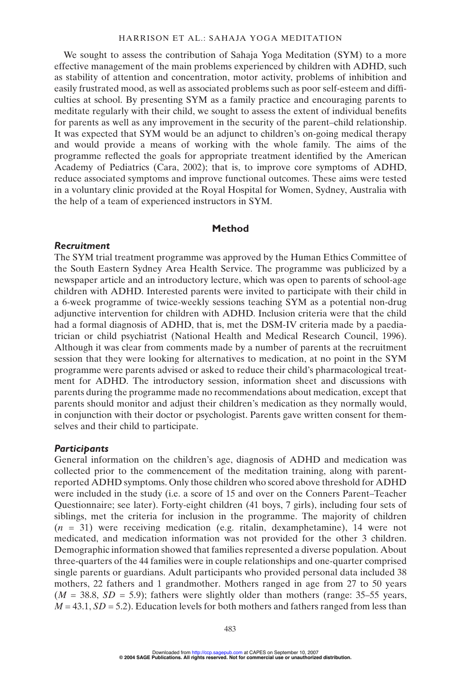We sought to assess the contribution of Sahaja Yoga Meditation (SYM) to a more effective management of the main problems experienced by children with ADHD, such as stability of attention and concentration, motor activity, problems of inhibition and easily frustrated mood, as well as associated problems such as poor self-esteem and difficulties at school. By presenting SYM as a family practice and encouraging parents to meditate regularly with their child, we sought to assess the extent of individual benefits for parents as well as any improvement in the security of the parent–child relationship. It was expected that SYM would be an adjunct to children's on-going medical therapy and would provide a means of working with the whole family. The aims of the programme reflected the goals for appropriate treatment identified by the American Academy of Pediatrics (Cara, 2002); that is, to improve core symptoms of ADHD, reduce associated symptoms and improve functional outcomes. These aims were tested in a voluntary clinic provided at the Royal Hospital for Women, Sydney, Australia with the help of a team of experienced instructors in SYM.

#### **Method**

#### *Recruitment*

The SYM trial treatment programme was approved by the Human Ethics Committee of the South Eastern Sydney Area Health Service. The programme was publicized by a newspaper article and an introductory lecture, which was open to parents of school-age children with ADHD. Interested parents were invited to participate with their child in a 6-week programme of twice-weekly sessions teaching SYM as a potential non-drug adjunctive intervention for children with ADHD. Inclusion criteria were that the child had a formal diagnosis of ADHD, that is, met the DSM-IV criteria made by a paediatrician or child psychiatrist (National Health and Medical Research Council, 1996). Although it was clear from comments made by a number of parents at the recruitment session that they were looking for alternatives to medication, at no point in the SYM programme were parents advised or asked to reduce their child's pharmacological treatment for ADHD. The introductory session, information sheet and discussions with parents during the programme made no recommendations about medication, except that parents should monitor and adjust their children's medication as they normally would, in conjunction with their doctor or psychologist. Parents gave written consent for themselves and their child to participate.

#### *Participants*

General information on the children's age, diagnosis of ADHD and medication was collected prior to the commencement of the meditation training, along with parentreported ADHD symptoms. Only those children who scored above threshold for ADHD were included in the study (i.e. a score of 15 and over on the Conners Parent–Teacher Questionnaire; see later). Forty-eight children (41 boys, 7 girls), including four sets of siblings, met the criteria for inclusion in the programme. The majority of children (*n* = 31) were receiving medication (e.g. ritalin, dexamphetamine), 14 were not medicated, and medication information was not provided for the other 3 children. Demographic information showed that families represented a diverse population. About three-quarters of the 44 families were in couple relationships and one-quarter comprised single parents or guardians. Adult participants who provided personal data included 38 mothers, 22 fathers and 1 grandmother. Mothers ranged in age from 27 to 50 years  $(M = 38.8, SD = 5.9)$ ; fathers were slightly older than mothers (range: 35–55 years,  $M = 43.1$ ,  $SD = 5.2$ ). Education levels for both mothers and fathers ranged from less than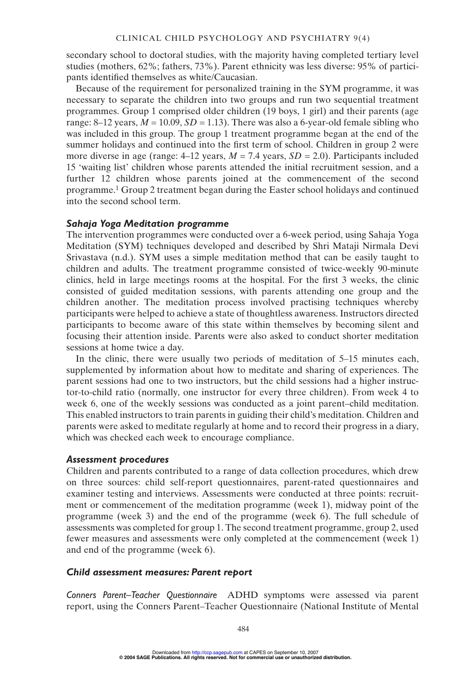secondary school to doctoral studies, with the majority having completed tertiary level studies (mothers, 62%; fathers, 73%). Parent ethnicity was less diverse: 95% of participants identified themselves as white/Caucasian.

Because of the requirement for personalized training in the SYM programme, it was necessary to separate the children into two groups and run two sequential treatment programmes. Group 1 comprised older children (19 boys, 1 girl) and their parents (age range:  $8-12$  years,  $M = 10.09$ ,  $SD = 1.13$ ). There was also a 6-year-old female sibling who was included in this group. The group 1 treatment programme began at the end of the summer holidays and continued into the first term of school. Children in group 2 were more diverse in age (range:  $4-12$  years,  $M = 7.4$  years,  $SD = 2.0$ ). Participants included 15 'waiting list' children whose parents attended the initial recruitment session, and a further 12 children whose parents joined at the commencement of the second programme.1 Group 2 treatment began during the Easter school holidays and continued into the second school term.

#### *Sahaja Yoga Meditation programme*

The intervention programmes were conducted over a 6-week period, using Sahaja Yoga Meditation (SYM) techniques developed and described by Shri Mataji Nirmala Devi Srivastava (n.d.). SYM uses a simple meditation method that can be easily taught to children and adults. The treatment programme consisted of twice-weekly 90-minute clinics, held in large meetings rooms at the hospital. For the first 3 weeks, the clinic consisted of guided meditation sessions, with parents attending one group and the children another. The meditation process involved practising techniques whereby participants were helped to achieve a state of thoughtless awareness. Instructors directed participants to become aware of this state within themselves by becoming silent and focusing their attention inside. Parents were also asked to conduct shorter meditation sessions at home twice a day.

In the clinic, there were usually two periods of meditation of 5–15 minutes each, supplemented by information about how to meditate and sharing of experiences. The parent sessions had one to two instructors, but the child sessions had a higher instructor-to-child ratio (normally, one instructor for every three children). From week 4 to week 6, one of the weekly sessions was conducted as a joint parent–child meditation. This enabled instructors to train parents in guiding their child's meditation. Children and parents were asked to meditate regularly at home and to record their progress in a diary, which was checked each week to encourage compliance.

#### *Assessment procedures*

Children and parents contributed to a range of data collection procedures, which drew on three sources: child self-report questionnaires, parent-rated questionnaires and examiner testing and interviews. Assessments were conducted at three points: recruitment or commencement of the meditation programme (week 1), midway point of the programme (week 3) and the end of the programme (week 6). The full schedule of assessments was completed for group 1. The second treatment programme, group 2, used fewer measures and assessments were only completed at the commencement (week 1) and end of the programme (week 6).

#### *Child assessment measures: Parent report*

*Conners Parent–Teacher Questionnaire* ADHD symptoms were assessed via parent report, using the Conners Parent–Teacher Questionnaire (National Institute of Mental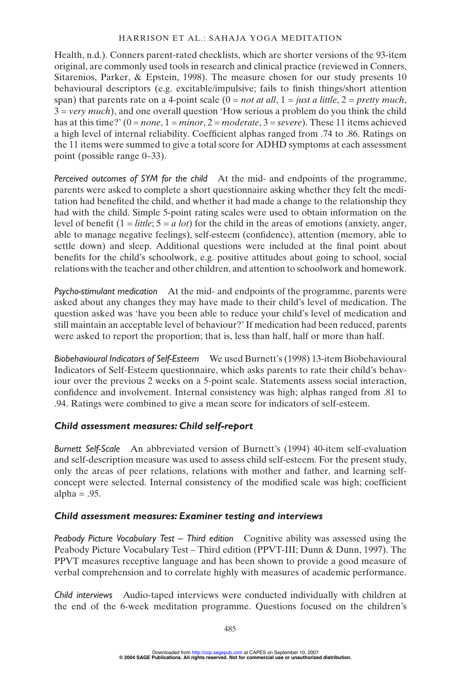Health, n.d.). Conners parent-rated checklists, which are shorter versions of the 93-item original, are commonly used tools in research and clinical practice (reviewed in Conners, Sitarenios, Parker, & Epstein, 1998). The measure chosen for our study presents 10 behavioural descriptors (e.g. excitable/impulsive; fails to finish things/short attention span) that parents rate on a 4-point scale (0 = *not at all*, 1 = *just a little*, 2 = *pretty much*, 3 = *very much*), and one overall question 'How serious a problem do you think the child has at this time?'  $(0 = none, 1 = minor, 2 = moderate, 3 = severe)$ . These 11 items achieved a high level of internal reliability. Coefficient alphas ranged from .74 to .86. Ratings on the 11 items were summed to give a total score for ADHD symptoms at each assessment point (possible range 0–33).

*Perceived outcomes of SYM for the child* At the mid- and endpoints of the programme, parents were asked to complete a short questionnaire asking whether they felt the meditation had benefited the child, and whether it had made a change to the relationship they had with the child. Simple 5-point rating scales were used to obtain information on the level of benefit (1 = *little*; 5 = *a lot*) for the child in the areas of emotions (anxiety, anger, able to manage negative feelings), self-esteem (confidence), attention (memory, able to settle down) and sleep. Additional questions were included at the final point about benefits for the child's schoolwork, e.g. positive attitudes about going to school, social relations with the teacher and other children, and attention to schoolwork and homework.

*Psycho-stimulant medication* At the mid- and endpoints of the programme, parents were asked about any changes they may have made to their child's level of medication. The question asked was 'have you been able to reduce your child's level of medication and still maintain an acceptable level of behaviour?' If medication had been reduced, parents were asked to report the proportion; that is, less than half, half or more than half.

*Biobehavioural Indicators of Self-Esteem* We used Burnett's (1998) 13-item Biobehavioural Indicators of Self-Esteem questionnaire, which asks parents to rate their child's behaviour over the previous 2 weeks on a 5-point scale. Statements assess social interaction, confidence and involvement. Internal consistency was high; alphas ranged from .81 to .94. Ratings were combined to give a mean score for indicators of self-esteem.

#### *Child assessment measures: Child self-report*

*Burnett Self-Scale* An abbreviated version of Burnett's (1994) 40-item self-evaluation and self-description measure was used to assess child self-esteem. For the present study, only the areas of peer relations, relations with mother and father, and learning selfconcept were selected. Internal consistency of the modified scale was high; coefficient alpha  $= .95$ .

#### *Child assessment measures: Examiner testing and interviews*

*Peabody Picture Vocabulary Test – Third edition* Cognitive ability was assessed using the Peabody Picture Vocabulary Test – Third edition (PPVT-III; Dunn & Dunn, 1997). The PPVT measures receptive language and has been shown to provide a good measure of verbal comprehension and to correlate highly with measures of academic performance.

*Child interviews* Audio-taped interviews were conducted individually with children at the end of the 6-week meditation programme. Questions focused on the children's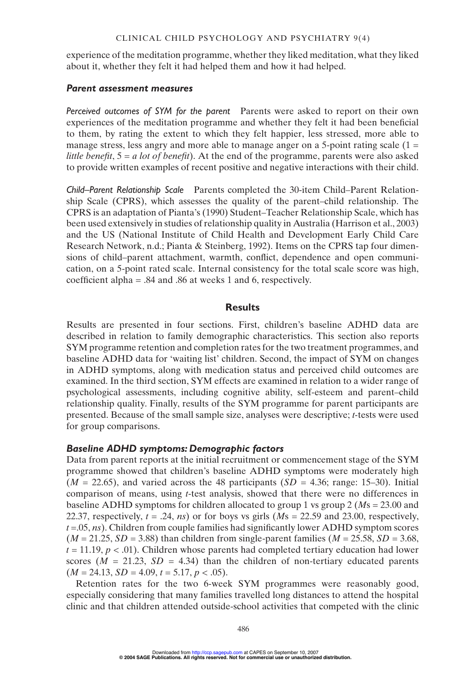experience of the meditation programme, whether they liked meditation, what they liked about it, whether they felt it had helped them and how it had helped.

#### *Parent assessment measures*

*Perceived outcomes of SYM for the parent* Parents were asked to report on their own experiences of the meditation programme and whether they felt it had been beneficial to them, by rating the extent to which they felt happier, less stressed, more able to manage stress, less angry and more able to manage anger on a 5-point rating scale  $(1 =$ *little benefit*, 5 = *a lot of benefit*). At the end of the programme, parents were also asked to provide written examples of recent positive and negative interactions with their child.

*Child–Parent Relationship Scale* Parents completed the 30-item Child–Parent Relationship Scale (CPRS), which assesses the quality of the parent–child relationship. The CPRS is an adaptation of Pianta's (1990) Student–Teacher Relationship Scale, which has been used extensively in studies of relationship quality in Australia (Harrison et al., 2003) and the US (National Institute of Child Health and Development Early Child Care Research Network, n.d.; Pianta & Steinberg, 1992). Items on the CPRS tap four dimensions of child–parent attachment, warmth, conflict, dependence and open communication, on a 5-point rated scale. Internal consistency for the total scale score was high, coefficient alpha = .84 and .86 at weeks 1 and 6, respectively.

#### **Results**

Results are presented in four sections. First, children's baseline ADHD data are described in relation to family demographic characteristics. This section also reports SYM programme retention and completion rates for the two treatment programmes, and baseline ADHD data for 'waiting list' children. Second, the impact of SYM on changes in ADHD symptoms, along with medication status and perceived child outcomes are examined. In the third section, SYM effects are examined in relation to a wider range of psychological assessments, including cognitive ability, self-esteem and parent–child relationship quality. Finally, results of the SYM programme for parent participants are presented. Because of the small sample size, analyses were descriptive; *t-*tests were used for group comparisons.

#### *Baseline ADHD symptoms: Demographic factors*

Data from parent reports at the initial recruitment or commencement stage of the SYM programme showed that children's baseline ADHD symptoms were moderately high  $(M = 22.65)$ , and varied across the 48 participants  $(SD = 4.36; \text{ range: } 15-30)$ . Initial comparison of means, using *t*-test analysis, showed that there were no differences in baseline ADHD symptoms for children allocated to group 1 vs group 2 (*M*s = 23.00 and 22.37, respectively,  $t = .24$ ,  $ns$ ) or for boys vs girls ( $Ms = 22.59$  and 23.00, respectively, *t* =.05, *ns*). Children from couple families had significantly lower ADHD symptom scores  $(M = 21.25, SD = 3.88)$  than children from single-parent families  $(M = 25.58, SD = 3.68,$  $t = 11.19, p < .01$ ). Children whose parents had completed tertiary education had lower scores  $(M = 21.23, SD = 4.34)$  than the children of non-tertiary educated parents  $(M = 24.13, SD = 4.09, t = 5.17, p < .05).$ 

Retention rates for the two 6-week SYM programmes were reasonably good, especially considering that many families travelled long distances to attend the hospital clinic and that children attended outside-school activities that competed with the clinic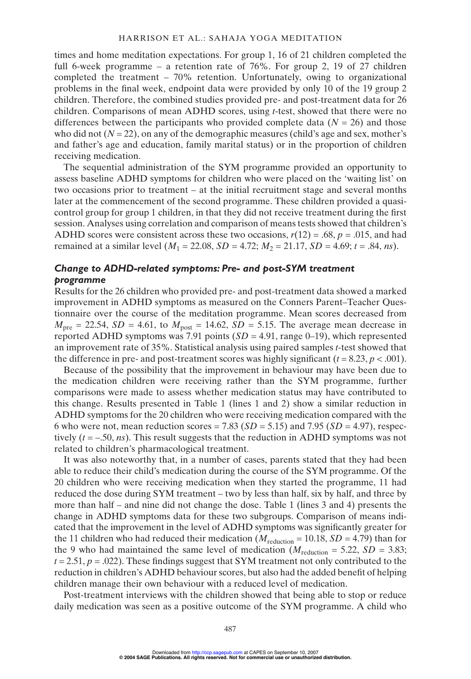times and home meditation expectations. For group 1, 16 of 21 children completed the full 6-week programme – a retention rate of 76%. For group 2, 19 of 27 children completed the treatment – 70% retention. Unfortunately, owing to organizational problems in the final week, endpoint data were provided by only 10 of the 19 group 2 children. Therefore, the combined studies provided pre- and post-treatment data for 26 children. Comparisons of mean ADHD scores, using *t*-test, showed that there were no differences between the participants who provided complete data  $(N = 26)$  and those who did not  $(N = 22)$ , on any of the demographic measures (child's age and sex, mother's and father's age and education, family marital status) or in the proportion of children receiving medication.

The sequential administration of the SYM programme provided an opportunity to assess baseline ADHD symptoms for children who were placed on the 'waiting list' on two occasions prior to treatment – at the initial recruitment stage and several months later at the commencement of the second programme. These children provided a quasicontrol group for group 1 children, in that they did not receive treatment during the first session. Analyses using correlation and comparison of means tests showed that children's ADHD scores were consistent across these two occasions,  $r(12) = .68$ ,  $p = .015$ , and had remained at a similar level  $(M_1 = 22.08, SD = 4.72; M_2 = 21.17, SD = 4.69; t = .84, ns)$ .

#### *Change to ADHD-related symptoms: Pre- and post-SYM treatment programme*

Results for the 26 children who provided pre- and post-treatment data showed a marked improvement in ADHD symptoms as measured on the Conners Parent–Teacher Questionnaire over the course of the meditation programme. Mean scores decreased from  $M_{\text{pre}} = 22.54$ , *SD* = 4.61, to  $M_{\text{post}} = 14.62$ , *SD* = 5.15. The average mean decrease in reported ADHD symptoms was 7.91 points  $(SD = 4.91$ , range 0–19), which represented an improvement rate of 35%. Statistical analysis using paired samples *t*-test showed that the difference in pre- and post-treatment scores was highly significant  $(t = 8.23, p < .001)$ .

Because of the possibility that the improvement in behaviour may have been due to the medication children were receiving rather than the SYM programme, further comparisons were made to assess whether medication status may have contributed to this change. Results presented in Table 1 (lines 1 and 2) show a similar reduction in ADHD symptoms for the 20 children who were receiving medication compared with the 6 who were not, mean reduction scores = 7.83  $(SD = 5.15)$  and 7.95  $(SD = 4.97)$ , respectively  $(t = -.50, ns)$ . This result suggests that the reduction in ADHD symptoms was not related to children's pharmacological treatment.

It was also noteworthy that, in a number of cases, parents stated that they had been able to reduce their child's medication during the course of the SYM programme. Of the 20 children who were receiving medication when they started the programme, 11 had reduced the dose during SYM treatment – two by less than half, six by half, and three by more than half – and nine did not change the dose. Table 1 (lines 3 and 4) presents the change in ADHD symptoms data for these two subgroups. Comparison of means indicated that the improvement in the level of ADHD symptoms was significantly greater for the 11 children who had reduced their medication ( $M_{\text{reduction}} = 10.18$ ,  $SD = 4.79$ ) than for the 9 who had maintained the same level of medication ( $M_{\text{reduction}} = 5.22$ ,  $SD = 3.83$ ;  $t = 2.51$ ,  $p = .022$ ). These findings suggest that SYM treatment not only contributed to the reduction in children's ADHD behaviour scores, but also had the added benefit of helping children manage their own behaviour with a reduced level of medication.

Post-treatment interviews with the children showed that being able to stop or reduce daily medication was seen as a positive outcome of the SYM programme. A child who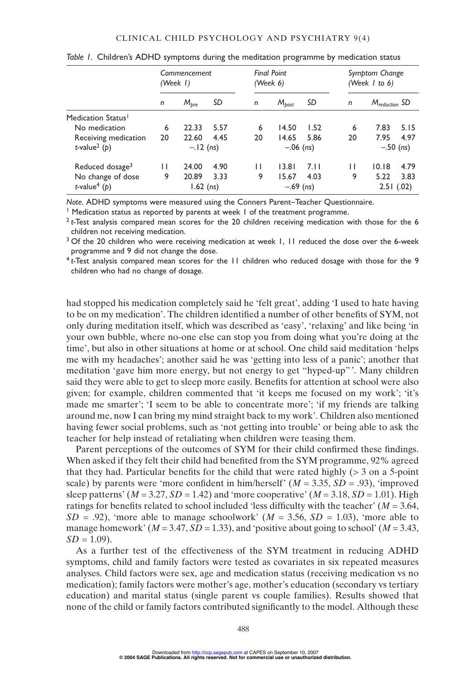|                                | Commencement<br>(Week 1) |                  |      | <b>Final Point</b><br>(Week $6$ ) |                   |      | Symptom Change<br>(Week $I$ to $6$ ) |                    |      |
|--------------------------------|--------------------------|------------------|------|-----------------------------------|-------------------|------|--------------------------------------|--------------------|------|
|                                | n                        | $M_{\text{bre}}$ | SD   | n                                 | $M_{\text{post}}$ | SD   | n                                    | $M_{reduction}$ SD |      |
| Medication Status <sup>1</sup> |                          |                  |      |                                   |                   |      |                                      |                    |      |
| No medication                  | 6                        | 22.33            | 5.57 | 6                                 | 14.50             | 1.52 | 6                                    | 7.83               | 5.15 |
| Receiving medication           | 20                       | 22.60            | 4.45 | 20                                | 14.65             | 5.86 | 20                                   | 7.95               | 4.97 |
| t-value <sup>2</sup> ( $p$ )   |                          | $-.12$ (ns)      |      | $-.06$ (ns)                       |                   |      |                                      | $-.50$ (ns)        |      |
| Reduced dosage <sup>3</sup>    | Н                        | 24.00            | 4.90 | $\mathsf{I}$                      | 13.81             | 7.11 | Н                                    | 10.18              | 4.79 |
| No change of dose              | 9                        | 20.89            | 3.33 | 9                                 | 15.67             | 4.03 | 9                                    | 5.22               | 3.83 |
| t-value <sup>4</sup> ( $p$ )   |                          | $1.62$ (ns)      |      | $-.69$ (ns)                       |                   |      |                                      | 2.51(.02)          |      |

*Table 1.* Children's ADHD symptoms during the meditation programme by medication status

*Note*. ADHD symptoms were measured using the Conners Parent–Teacher Questionnaire.

Medication status as reported by parents at week 1 of the treatment programme.

<sup>2</sup>*t-*Test analysis compared mean scores for the 20 children receiving medication with those for the 6 children not receiving medication.

<sup>3</sup> Of the 20 children who were receiving medication at week 1, 11 reduced the dose over the 6-week programme and 9 did not change the dose.

<sup>4</sup>*t-*Test analysis compared mean scores for the 11 children who reduced dosage with those for the 9 children who had no change of dosage.

had stopped his medication completely said he 'felt great', adding 'I used to hate having to be on my medication'. The children identified a number of other benefits of SYM, not only during meditation itself, which was described as 'easy', 'relaxing' and like being 'in your own bubble, where no-one else can stop you from doing what you're doing at the time', but also in other situations at home or at school. One child said meditation 'helps me with my headaches'; another said he was 'getting into less of a panic'; another that meditation 'gave him more energy, but not energy to get "hyped-up" '. Many children said they were able to get to sleep more easily. Benefits for attention at school were also given; for example, children commented that 'it keeps me focused on my work'; 'it's made me smarter'; 'I seem to be able to concentrate more'; 'if my friends are talking around me, now I can bring my mind straight back to my work'. Children also mentioned having fewer social problems, such as 'not getting into trouble' or being able to ask the teacher for help instead of retaliating when children were teasing them.

Parent perceptions of the outcomes of SYM for their child confirmed these findings. When asked if they felt their child had benefited from the SYM programme, 92% agreed that they had. Particular benefits for the child that were rated highly  $(> 3 \text{ on a } 5\text{-point})$ scale) by parents were 'more confident in him/herself'  $(M = 3.35, SD = .93)$ , 'improved sleep patterns'  $(M = 3.27, SD = 1.42)$  and 'more cooperative'  $(M = 3.18, SD = 1.01)$ . High ratings for benefits related to school included 'less difficulty with the teacher'  $(M = 3.64,$  $SD = .92$ ), 'more able to manage schoolwork' ( $M = 3.56$ ,  $SD = 1.03$ ), 'more able to manage homework'  $(M = 3.47, SD = 1.33)$ , and 'positive about going to school'  $(M = 3.43,$  $SD = 1.09$ .

As a further test of the effectiveness of the SYM treatment in reducing ADHD symptoms, child and family factors were tested as covariates in six repeated measures analyses. Child factors were sex, age and medication status (receiving medication vs no medication); family factors were mother's age, mother's education (secondary vs tertiary education) and marital status (single parent vs couple families). Results showed that none of the child or family factors contributed significantly to the model. Although these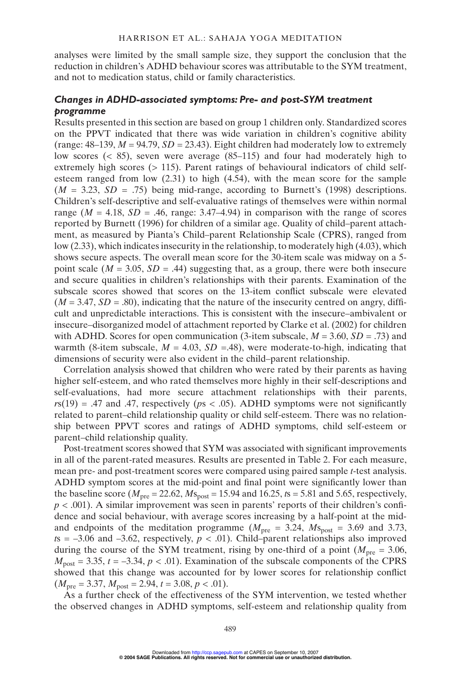analyses were limited by the small sample size, they support the conclusion that the reduction in children's ADHD behaviour scores was attributable to the SYM treatment, and not to medication status, child or family characteristics.

#### *Changes in ADHD-associated symptoms: Pre- and post-SYM treatment programme*

Results presented in this section are based on group 1 children only. Standardized scores on the PPVT indicated that there was wide variation in children's cognitive ability (range:  $48-139$ ,  $M = 94.79$ ,  $SD = 23.43$ ). Eight children had moderately low to extremely low scores (< 85), seven were average (85–115) and four had moderately high to extremely high scores (> 115). Parent ratings of behavioural indicators of child selfesteem ranged from low (2.31) to high (4.54), with the mean score for the sample  $(M = 3.23, SD = .75)$  being mid-range, according to Burnett's (1998) descriptions. Children's self-descriptive and self-evaluative ratings of themselves were within normal range  $(M = 4.18, SD = .46$ , range: 3.47–4.94) in comparison with the range of scores reported by Burnett (1996) for children of a similar age. Quality of child–parent attachment, as measured by Pianta's Child–parent Relationship Scale (CPRS), ranged from low (2.33), which indicates insecurity in the relationship, to moderately high (4.03), which shows secure aspects. The overall mean score for the 30-item scale was midway on a 5 point scale ( $M = 3.05$ ,  $SD = .44$ ) suggesting that, as a group, there were both insecure and secure qualities in children's relationships with their parents. Examination of the subscale scores showed that scores on the 13-item conflict subscale were elevated  $(M = 3.47, SD = .80)$ , indicating that the nature of the insecurity centred on angry, difficult and unpredictable interactions. This is consistent with the insecure–ambivalent or insecure–disorganized model of attachment reported by Clarke et al. (2002) for children with ADHD. Scores for open communication (3-item subscale,  $M = 3.60$ ,  $SD = .73$ ) and warmth (8-item subscale,  $M = 4.03$ ,  $SD = .48$ ), were moderate-to-high, indicating that dimensions of security were also evident in the child–parent relationship.

Correlation analysis showed that children who were rated by their parents as having higher self-esteem, and who rated themselves more highly in their self-descriptions and self-evaluations, had more secure attachment relationships with their parents,  $r s(19) = .47$  and .47, respectively ( $p s < .05$ ). ADHD symptoms were not significantly related to parent–child relationship quality or child self-esteem. There was no relationship between PPVT scores and ratings of ADHD symptoms, child self-esteem or parent–child relationship quality.

Post-treatment scores showed that SYM was associated with significant improvements in all of the parent-rated measures. Results are presented in Table 2. For each measure, mean pre- and post-treatment scores were compared using paired sample *t*-test analysis. ADHD symptom scores at the mid-point and final point were significantly lower than the baseline score ( $M_{\text{pre}} = 22.62$ ,  $M_{\text{Spost}} = 15.94$  and 16.25,  $t_s = 5.81$  and 5.65, respectively,  $p < .001$ ). A similar improvement was seen in parents' reports of their children's confidence and social behaviour, with average scores increasing by a half-point at the midand endpoints of the meditation programme ( $M_{\text{pre}} = 3.24$ ,  $M_{\text{Spost}} = 3.69$  and 3.73,  $t = -3.06$  and  $-3.62$ , respectively,  $p < .01$ ). Child–parent relationships also improved during the course of the SYM treatment, rising by one-third of a point ( $M_{\text{pre}} = 3.06$ ,  $M_{\text{post}} = 3.35$ ,  $t = -3.34$ ,  $p < .01$ ). Examination of the subscale components of the CPRS showed that this change was accounted for by lower scores for relationship conflict  $(M_{\text{pre}} = 3.37, M_{\text{post}} = 2.94, t = 3.08, p < .01).$ 

As a further check of the effectiveness of the SYM intervention, we tested whether the observed changes in ADHD symptoms, self-esteem and relationship quality from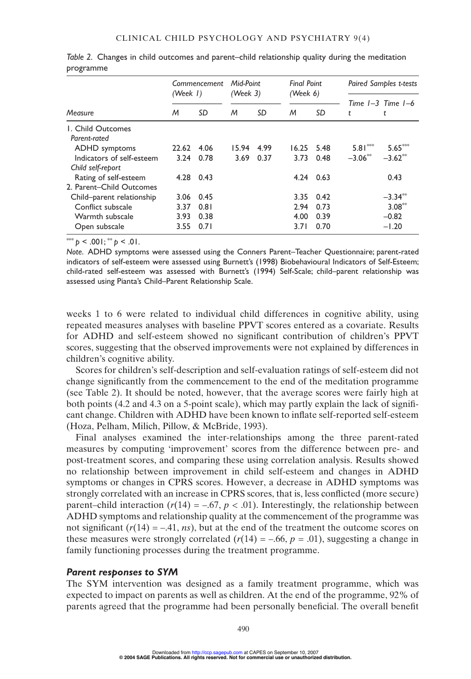|                           | Commencement<br>(Week 1) |           | Mid-Point<br>(Week 3) |      | <b>Final Point</b><br>(Week $6$ ) |      | <b>Paired Samples t-tests</b> |                       |
|---------------------------|--------------------------|-----------|-----------------------|------|-----------------------------------|------|-------------------------------|-----------------------|
|                           |                          |           |                       |      |                                   |      | Time $1-3$ Time $1-6$         |                       |
| Measure                   | M                        | SD        | M                     | SD   | M                                 | SD   | t                             | t                     |
| <b>I. Child Outcomes</b>  |                          |           |                       |      |                                   |      |                               |                       |
| Parent-rated              |                          |           |                       |      |                                   |      |                               |                       |
| ADHD symptoms             | 22.62                    | 4.06      | 15.94                 | 4.99 | $16.25$ 5.48                      |      | $5.81***$                     | $5.65***$             |
| Indicators of self-esteem | 3.24                     | 0.78      | 3.69                  | 0.37 | 3.73                              | 0.48 | $-3.06**$                     | $-3.62$ <sup>**</sup> |
| Child self-report         |                          |           |                       |      |                                   |      |                               |                       |
| Rating of self-esteem     |                          | 4.28 0.43 |                       |      | 4.24 0.63                         |      |                               | 0.43                  |
| 2. Parent-Child Outcomes  |                          |           |                       |      |                                   |      |                               |                       |
| Child-parent relationship | 3.06                     | 0.45      |                       |      | 3.35                              | 0.42 |                               | $-3.34**$             |
| Conflict subscale         | 3.37                     | 0.81      |                       |      | 2.94                              | 0.73 |                               | $3.08***$             |
| Warmth subscale           | 3.93                     | 0.38      |                       |      | 4.00                              | 0.39 |                               | $-0.82$               |
| Open subscale             | 3.55                     | 0.71      |                       |      | 3.71                              | 0.70 |                               | $-1.20$               |

*Table 2.* Changes in child outcomes and parent–child relationship quality during the meditation programme

 $h^{**}$  *p* < .001;  $h^{**}$  *p* < .01.

*Note*. ADHD symptoms were assessed using the Conners Parent–Teacher Questionnaire; parent-rated indicators of self-esteem were assessed using Burnett's (1998) Biobehavioural Indicators of Self-Esteem; child-rated self-esteem was assessed with Burnett's (1994) Self-Scale; child–parent relationship was assessed using Pianta's Child–Parent Relationship Scale.

weeks 1 to 6 were related to individual child differences in cognitive ability, using repeated measures analyses with baseline PPVT scores entered as a covariate. Results for ADHD and self-esteem showed no significant contribution of children's PPVT scores, suggesting that the observed improvements were not explained by differences in children's cognitive ability.

Scores for children's self-description and self-evaluation ratings of self-esteem did not change significantly from the commencement to the end of the meditation programme (see Table 2). It should be noted, however, that the average scores were fairly high at both points (4.2 and 4.3 on a 5-point scale), which may partly explain the lack of significant change. Children with ADHD have been known to inflate self-reported self-esteem (Hoza, Pelham, Milich, Pillow, & McBride, 1993).

Final analyses examined the inter-relationships among the three parent-rated measures by computing 'improvement' scores from the difference between pre- and post-treatment scores, and comparing these using correlation analysis. Results showed no relationship between improvement in child self-esteem and changes in ADHD symptoms or changes in CPRS scores. However, a decrease in ADHD symptoms was strongly correlated with an increase in CPRS scores, that is, less conflicted (more secure) parent–child interaction  $(r(14) = -.67, p < .01)$ . Interestingly, the relationship between ADHD symptoms and relationship quality at the commencement of the programme was not significant  $(r(14) = -0.41, ns)$ , but at the end of the treatment the outcome scores on these measures were strongly correlated  $(r(14) = -.66, p = .01)$ , suggesting a change in family functioning processes during the treatment programme.

#### *Parent responses to SYM*

The SYM intervention was designed as a family treatment programme, which was expected to impact on parents as well as children. At the end of the programme, 92% of parents agreed that the programme had been personally beneficial. The overall benefit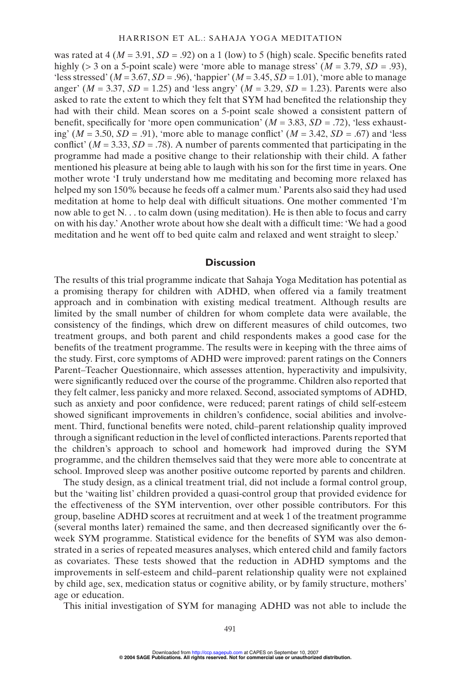was rated at  $4 (M = 3.91, SD = .92)$  on a 1 (low) to 5 (high) scale. Specific benefits rated highly ( $> 3$  on a 5-point scale) were 'more able to manage stress' ( $M = 3.79$ ,  $SD = .93$ ), 'less stressed' ( $M = 3.67$ ,  $SD = .96$ ), 'happier' ( $M = 3.45$ ,  $SD = 1.01$ ), 'more able to manage anger' ( $M = 3.37$ ,  $SD = 1.25$ ) and 'less angry' ( $M = 3.29$ ,  $SD = 1.23$ ). Parents were also asked to rate the extent to which they felt that SYM had benefited the relationship they had with their child. Mean scores on a 5-point scale showed a consistent pattern of benefit, specifically for 'more open communication' ( $M = 3.83$ ,  $SD = .72$ ), 'less exhausting' (*M* = 3.50, *SD* = .91), 'more able to manage conflict' (*M* = 3.42, *SD* = .67) and 'less conflict' ( $M = 3.33$ ,  $SD = .78$ ). A number of parents commented that participating in the programme had made a positive change to their relationship with their child. A father mentioned his pleasure at being able to laugh with his son for the first time in years. One mother wrote 'I truly understand how me meditating and becoming more relaxed has helped my son 150% because he feeds off a calmer mum.' Parents also said they had used meditation at home to help deal with difficult situations. One mother commented 'I'm now able to get N. . . to calm down (using meditation). He is then able to focus and carry on with his day.' Another wrote about how she dealt with a difficult time: 'We had a good meditation and he went off to bed quite calm and relaxed and went straight to sleep.'

#### **Discussion**

The results of this trial programme indicate that Sahaja Yoga Meditation has potential as a promising therapy for children with ADHD, when offered via a family treatment approach and in combination with existing medical treatment. Although results are limited by the small number of children for whom complete data were available, the consistency of the findings, which drew on different measures of child outcomes, two treatment groups, and both parent and child respondents makes a good case for the benefits of the treatment programme. The results were in keeping with the three aims of the study. First, core symptoms of ADHD were improved: parent ratings on the Conners Parent–Teacher Questionnaire, which assesses attention, hyperactivity and impulsivity, were significantly reduced over the course of the programme. Children also reported that they felt calmer, less panicky and more relaxed. Second, associated symptoms of ADHD, such as anxiety and poor confidence, were reduced; parent ratings of child self-esteem showed significant improvements in children's confidence, social abilities and involvement. Third, functional benefits were noted, child–parent relationship quality improved through a significant reduction in the level of conflicted interactions. Parents reported that the children's approach to school and homework had improved during the SYM programme, and the children themselves said that they were more able to concentrate at school. Improved sleep was another positive outcome reported by parents and children.

The study design, as a clinical treatment trial, did not include a formal control group, but the 'waiting list' children provided a quasi-control group that provided evidence for the effectiveness of the SYM intervention, over other possible contributors. For this group, baseline ADHD scores at recruitment and at week 1 of the treatment programme (several months later) remained the same, and then decreased significantly over the 6 week SYM programme. Statistical evidence for the benefits of SYM was also demonstrated in a series of repeated measures analyses, which entered child and family factors as covariates. These tests showed that the reduction in ADHD symptoms and the improvements in self-esteem and child–parent relationship quality were not explained by child age, sex, medication status or cognitive ability, or by family structure, mothers' age or education.

This initial investigation of SYM for managing ADHD was not able to include the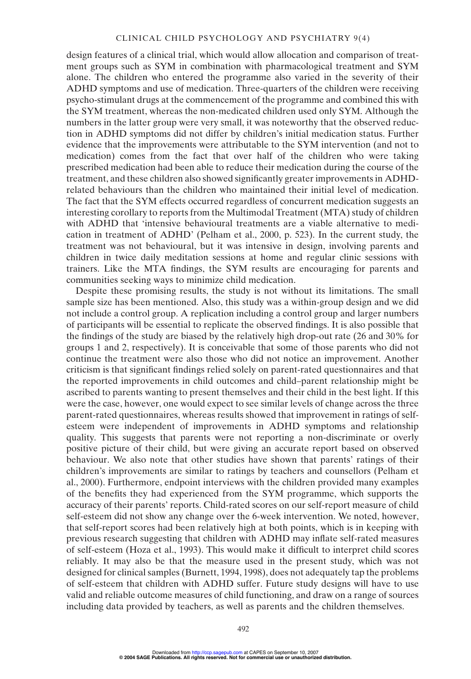design features of a clinical trial, which would allow allocation and comparison of treatment groups such as SYM in combination with pharmacological treatment and SYM alone. The children who entered the programme also varied in the severity of their ADHD symptoms and use of medication. Three-quarters of the children were receiving psycho-stimulant drugs at the commencement of the programme and combined this with the SYM treatment, whereas the non-medicated children used only SYM. Although the numbers in the latter group were very small, it was noteworthy that the observed reduction in ADHD symptoms did not differ by children's initial medication status. Further evidence that the improvements were attributable to the SYM intervention (and not to medication) comes from the fact that over half of the children who were taking prescribed medication had been able to reduce their medication during the course of the treatment, and these children also showed significantly greater improvements in ADHDrelated behaviours than the children who maintained their initial level of medication. The fact that the SYM effects occurred regardless of concurrent medication suggests an interesting corollary to reports from the Multimodal Treatment (MTA) study of children with ADHD that 'intensive behavioural treatments are a viable alternative to medication in treatment of ADHD' (Pelham et al., 2000, p. 523). In the current study, the treatment was not behavioural, but it was intensive in design, involving parents and children in twice daily meditation sessions at home and regular clinic sessions with trainers. Like the MTA findings, the SYM results are encouraging for parents and communities seeking ways to minimize child medication.

Despite these promising results, the study is not without its limitations. The small sample size has been mentioned. Also, this study was a within-group design and we did not include a control group. A replication including a control group and larger numbers of participants will be essential to replicate the observed findings. It is also possible that the findings of the study are biased by the relatively high drop-out rate (26 and 30% for groups 1 and 2, respectively). It is conceivable that some of those parents who did not continue the treatment were also those who did not notice an improvement. Another criticism is that significant findings relied solely on parent-rated questionnaires and that the reported improvements in child outcomes and child–parent relationship might be ascribed to parents wanting to present themselves and their child in the best light. If this were the case, however, one would expect to see similar levels of change across the three parent-rated questionnaires, whereas results showed that improvement in ratings of selfesteem were independent of improvements in ADHD symptoms and relationship quality. This suggests that parents were not reporting a non-discriminate or overly positive picture of their child, but were giving an accurate report based on observed behaviour. We also note that other studies have shown that parents' ratings of their children's improvements are similar to ratings by teachers and counsellors (Pelham et al., 2000). Furthermore, endpoint interviews with the children provided many examples of the benefits they had experienced from the SYM programme, which supports the accuracy of their parents' reports. Child-rated scores on our self-report measure of child self-esteem did not show any change over the 6-week intervention. We noted, however, that self-report scores had been relatively high at both points, which is in keeping with previous research suggesting that children with ADHD may inflate self-rated measures of self-esteem (Hoza et al., 1993). This would make it difficult to interpret child scores reliably. It may also be that the measure used in the present study, which was not designed for clinical samples (Burnett, 1994, 1998), does not adequately tap the problems of self-esteem that children with ADHD suffer. Future study designs will have to use valid and reliable outcome measures of child functioning, and draw on a range of sources including data provided by teachers, as well as parents and the children themselves.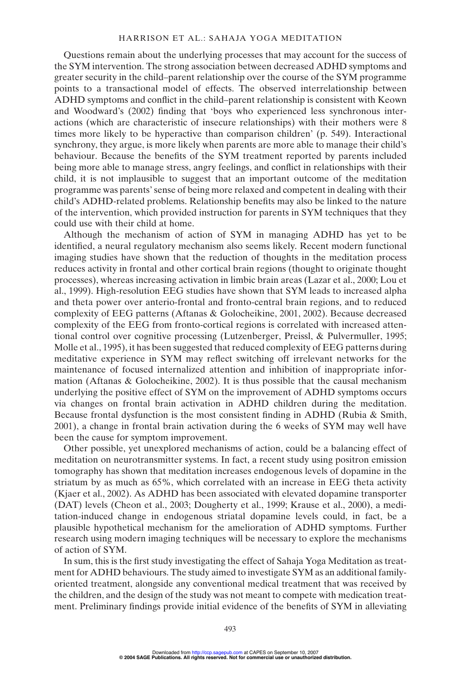Questions remain about the underlying processes that may account for the success of the SYM intervention. The strong association between decreased ADHD symptoms and greater security in the child–parent relationship over the course of the SYM programme points to a transactional model of effects. The observed interrelationship between ADHD symptoms and conflict in the child–parent relationship is consistent with Keown and Woodward's (2002) finding that 'boys who experienced less synchronous interactions (which are characteristic of insecure relationships) with their mothers were 8 times more likely to be hyperactive than comparison children' (p. 549). Interactional synchrony, they argue, is more likely when parents are more able to manage their child's behaviour. Because the benefits of the SYM treatment reported by parents included being more able to manage stress, angry feelings, and conflict in relationships with their child, it is not implausible to suggest that an important outcome of the meditation programme was parents' sense of being more relaxed and competent in dealing with their child's ADHD-related problems. Relationship benefits may also be linked to the nature of the intervention, which provided instruction for parents in SYM techniques that they could use with their child at home.

Although the mechanism of action of SYM in managing ADHD has yet to be identified, a neural regulatory mechanism also seems likely. Recent modern functional imaging studies have shown that the reduction of thoughts in the meditation process reduces activity in frontal and other cortical brain regions (thought to originate thought processes), whereas increasing activation in limbic brain areas (Lazar et al., 2000; Lou et al., 1999). High-resolution EEG studies have shown that SYM leads to increased alpha and theta power over anterio-frontal and fronto-central brain regions, and to reduced complexity of EEG patterns (Aftanas & Golocheikine, 2001, 2002). Because decreased complexity of the EEG from fronto-cortical regions is correlated with increased attentional control over cognitive processing (Lutzenberger, Preissl, & Pulvermuller, 1995; Molle et al., 1995), it has been suggested that reduced complexity of EEG patterns during meditative experience in SYM may reflect switching off irrelevant networks for the maintenance of focused internalized attention and inhibition of inappropriate information (Aftanas & Golocheikine, 2002). It is thus possible that the causal mechanism underlying the positive effect of SYM on the improvement of ADHD symptoms occurs via changes on frontal brain activation in ADHD children during the meditation. Because frontal dysfunction is the most consistent finding in ADHD (Rubia & Smith, 2001), a change in frontal brain activation during the 6 weeks of SYM may well have been the cause for symptom improvement.

Other possible, yet unexplored mechanisms of action, could be a balancing effect of meditation on neurotransmitter systems. In fact, a recent study using positron emission tomography has shown that meditation increases endogenous levels of dopamine in the striatum by as much as 65%, which correlated with an increase in EEG theta activity (Kjaer et al., 2002). As ADHD has been associated with elevated dopamine transporter (DAT) levels (Cheon et al., 2003; Dougherty et al., 1999; Krause et al., 2000), a meditation-induced change in endogenous striatal dopamine levels could, in fact, be a plausible hypothetical mechanism for the amelioration of ADHD symptoms. Further research using modern imaging techniques will be necessary to explore the mechanisms of action of SYM.

In sum, this is the first study investigating the effect of Sahaja Yoga Meditation as treatment for ADHD behaviours. The study aimed to investigate SYM as an additional familyoriented treatment, alongside any conventional medical treatment that was received by the children, and the design of the study was not meant to compete with medication treatment. Preliminary findings provide initial evidence of the benefits of SYM in alleviating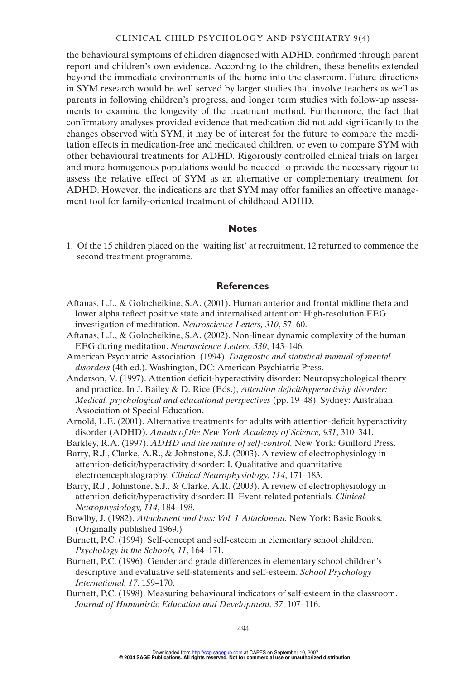the behavioural symptoms of children diagnosed with ADHD, confirmed through parent report and children's own evidence. According to the children, these benefits extended beyond the immediate environments of the home into the classroom. Future directions in SYM research would be well served by larger studies that involve teachers as well as parents in following children's progress, and longer term studies with follow-up assessments to examine the longevity of the treatment method. Furthermore, the fact that confirmatory analyses provided evidence that medication did not add significantly to the changes observed with SYM, it may be of interest for the future to compare the meditation effects in medication-free and medicated children, or even to compare SYM with other behavioural treatments for ADHD. Rigorously controlled clinical trials on larger and more homogenous populations would be needed to provide the necessary rigour to assess the relative effect of SYM as an alternative or complementary treatment for ADHD. However, the indications are that SYM may offer families an effective management tool for family-oriented treatment of childhood ADHD.

#### **Notes**

1. Of the 15 children placed on the 'waiting list' at recruitment, 12 returned to commence the second treatment programme.

#### **References**

- Aftanas, L.I., & Golocheikine, S.A. (2001). Human anterior and frontal midline theta and lower alpha reflect positive state and internalised attention: High-resolution EEG investigation of meditation. *Neuroscience Letters, 310*, 57–60.
- Aftanas, L.I., & Golocheikine, S.A. (2002). Non-linear dynamic complexity of the human EEG during meditation. *Neuroscience Letters, 330*, 143–146.
- American Psychiatric Association. (1994). *Diagnostic and statistical manual of mental disorders* (4th ed.). Washington, DC: American Psychiatric Press.
- Anderson, V. (1997). Attention deficit-hyperactivity disorder: Neuropsychological theory and practice. In J. Bailey & D. Rice (Eds.), *Attention deficit/hyperactivity disorder: Medical, psychological and educational perspectives* (pp. 19–48). Sydney: Australian Association of Special Education.
- Arnold, L.E. (2001). Alternative treatments for adults with attention-deficit hyperactivity disorder (ADHD). *Annals of the New York Academy of Science, 931*, 310–341.

Barkley, R.A. (1997). *ADHD and the nature of self-control.* New York: Guilford Press.

- Barry, R.J., Clarke, A.R., & Johnstone, S.J. (2003). A review of electrophysiology in attention-deficit/hyperactivity disorder: I. Qualitative and quantitative electroencephalography. *Clinical Neurophysiology, 114*, 171–183.
- Barry, R.J., Johnstone, S.J., & Clarke, A.R. (2003). A review of electrophysiology in attention-deficit/hyperactivity disorder: II. Event-related potentials. *Clinical Neurophysiology, 114*, 184–198.
- Bowlby, J. (1982). *Attachment and loss: Vol. 1 Attachment.* New York: Basic Books. (Originally published 1969.)
- Burnett, P.C. (1994). Self-concept and self-esteem in elementary school children. *Psychology in the Schools, 11*, 164–171.
- Burnett, P.C. (1996). Gender and grade differences in elementary school children's descriptive and evaluative self-statements and self-esteem. *School Psychology International, 17*, 159–170.
- Burnett, P.C. (1998). Measuring behavioural indicators of self-esteem in the classroom. *Journal of Humanistic Education and Development, 37*, 107–116.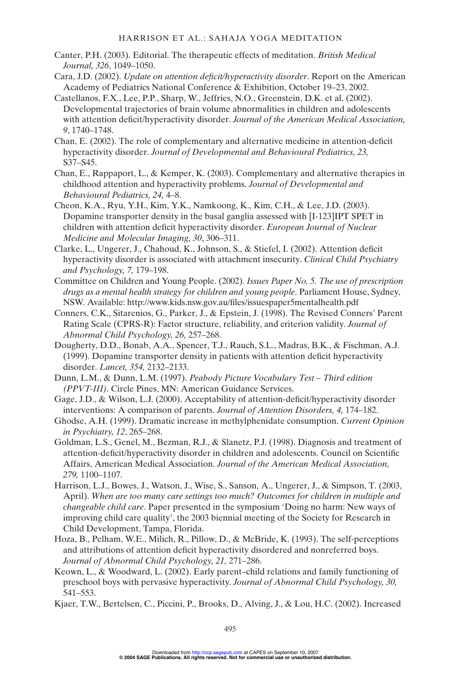- Canter, P.H. (2003). Editorial. The therapeutic effects of meditation. *British Medical Journal, 326*, 1049–1050.
- Cara, J.D. (2002). *Update on attention deficit/hyperactivity disorder*. Report on the American Academy of Pediatrics National Conference & Exhibition, October 19–23, 2002.
- Castellanos, F.X., Lee, P.P., Sharp, W., Jeffries, N.O., Greenstein, D.K. et al. (2002). Developmental trajectories of brain volume abnormalities in children and adolescents with attention deficit/hyperactivity disorder. *Journal of the American Medical Association, 9*, 1740–1748.
- Chan, E. (2002). The role of complementary and alternative medicine in attention-deficit hyperactivity disorder. *Journal of Developmental and Behavioural Pediatrics, 23,* S37–S45.
- Chan, E., Rappaport, L., & Kemper, K. (2003). Complementary and alternative therapies in childhood attention and hyperactivity problems. *Journal of Developmental and Behavioural Pediatrics, 24,* 4–8.
- Cheon, K.A., Ryu, Y.H., Kim, Y.K., Namkoong, K., Kim, C.H., & Lee, J.D. (2003). Dopamine transporter density in the basal ganglia assessed with [I-123]IPT SPET in children with attention deficit hyperactivity disorder. *European Journal of Nuclear Medicine and Molecular Imaging, 30*, 306–311.
- Clarke, L., Ungerer, J., Chahoud, K., Johnson, S., & Stiefel, I. (2002). Attention deficit hyperactivity disorder is associated with attachment insecurity. *Clinical Child Psychiatry and Psychology, 7,* 179–198.
- Committee on Children and Young People. (2002). *Issues Paper No. 5. The use of prescription drugs as a mental health strategy for children and young people*. Parliament House, Sydney, NSW. Available: http://www.kids.nsw.gov.au/files/issuespaper5mentalhealth.pdf
- Conners, C.K., Sitarenios, G., Parker, J., & Epstein, J. (1998). The Revised Conners' Parent Rating Scale (CPRS-R): Factor structure, reliability, and criterion validity. *Journal of Abnormal Child Psychology, 26,* 257–268.
- Dougherty, D.D., Bonab, A.A., Spencer, T.J., Rauch, S.L., Madras, B.K., & Fischman, A.J. (1999). Dopamine transporter density in patients with attention deficit hyperactivity disorder. *Lancet, 354,* 2132–2133.
- Dunn, L.M., & Dunn, L.M. (1997). *Peabody Picture Vocabulary Test Third edition (PPVT-III)*. Circle Pines, MN: American Guidance Services.
- Gage, J.D., & Wilson, L.J. (2000). Acceptability of attention-deficit/hyperactivity disorder interventions: A comparison of parents. *Journal of Attention Disorders, 4,* 174–182.
- Ghodse, A.H. (1999). Dramatic increase in methylphenidate consumption. *Current Opinion in Psychiatry, 12*, 265–268.
- Goldman, L.S., Genel, M., Bezman, R.J., & Slanetz, P.J. (1998). Diagnosis and treatment of attention-deficit/hyperactivity disorder in children and adolescents. Council on Scientific Affairs, American Medical Association. *Journal of the American Medical Association, 279,* 1100–1107.
- Harrison, L.J., Bowes, J., Watson, J., Wise, S., Sanson, A., Ungerer, J., & Simpson, T. (2003, April). *When are too many care settings too much? Outcomes for children in multiple and changeable child care*. Paper presented in the symposium 'Doing no harm: New ways of improving child care quality', the 2003 biennial meeting of the Society for Research in Child Development, Tampa, Florida.
- Hoza, B., Pelham, W.E., Milich, R., Pillow, D., & McBride, K. (1993). The self-perceptions and attributions of attention deficit hyperactivity disordered and nonreferred boys. *Journal of Abnormal Child Psychology, 21,* 271–286.
- Keown, L., & Woodward, L. (2002). Early parent–child relations and family functioning of preschool boys with pervasive hyperactivity. *Journal of Abnormal Child Psychology, 30,* 541–553.
- Kjaer, T.W., Bertelsen, C., Piccini, P., Brooks, D., Alving, J., & Lou, H.C. (2002). Increased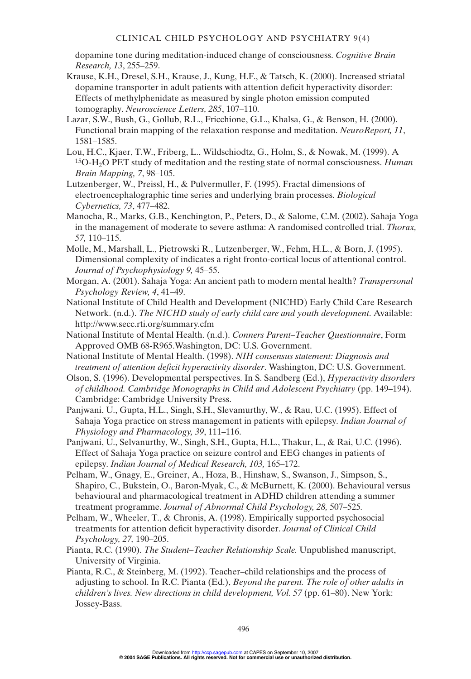dopamine tone during meditation-induced change of consciousness. *Cognitive Brain Research, 13*, 255–259.

- Krause, K.H., Dresel, S.H., Krause, J., Kung, H.F., & Tatsch, K. (2000). Increased striatal dopamine transporter in adult patients with attention deficit hyperactivity disorder: Effects of methylphenidate as measured by single photon emission computed tomography. *Neuroscience Letters, 285*, 107–110.
- Lazar, S.W., Bush, G., Gollub, R.L., Fricchione, G.L., Khalsa, G., & Benson, H. (2000). Functional brain mapping of the relaxation response and meditation. *NeuroReport, 11*, 1581–1585.
- Lou, H.C., Kjaer, T.W., Friberg, L., Wildschiodtz, G., Holm, S., & Nowak, M. (1999). A 15O-H2O PET study of meditation and the resting state of normal consciousness. *Human Brain Mapping, 7*, 98–105.
- Lutzenberger, W., Preissl, H., & Pulvermuller, F. (1995). Fractal dimensions of electroencephalographic time series and underlying brain processes. *Biological Cybernetics, 73*, 477–482.
- Manocha, R., Marks, G.B., Kenchington, P., Peters, D., & Salome, C.M. (2002). Sahaja Yoga in the management of moderate to severe asthma: A randomised controlled trial. *Thorax, 57,* 110–115.
- Molle, M., Marshall, L., Pietrowski R., Lutzenberger, W., Fehm, H.L., & Born, J. (1995). Dimensional complexity of indicates a right fronto-cortical locus of attentional control. *Journal of Psychophysiology 9,* 45–55.
- Morgan, A. (2001). Sahaja Yoga: An ancient path to modern mental health? *Transpersonal Psychology Review, 4*, 41–49.
- National Institute of Child Health and Development (NICHD) Early Child Care Research Network. (n.d.). *The NICHD study of early child care and youth development*. Available: http://www.secc.rti.org/summary.cfm
- National Institute of Mental Health. (n.d.). *Conners Parent–Teacher Questionnaire*, Form Approved OMB 68-R965.Washington, DC: U.S. Government.
- National Institute of Mental Health. (1998). *NIH consensus statement: Diagnosis and treatment of attention deficit hyperactivity disorder*. Washington, DC: U.S. Government.
- Olson, S. (1996). Developmental perspectives. In S. Sandberg (Ed.), *Hyperactivity disorders of childhood. Cambridge Monographs in Child and Adolescent Psychiatry* (pp. 149–194). Cambridge: Cambridge University Press.
- Panjwani, U., Gupta, H.L., Singh, S.H., Slevamurthy, W., & Rau, U.C. (1995). Effect of Sahaja Yoga practice on stress management in patients with epilepsy. *Indian Journal of Physiology and Pharmacology, 39*, 111–116.
- Panjwani, U., Selvanurthy, W., Singh, S.H., Gupta, H.L., Thakur, L., & Rai, U.C. (1996). Effect of Sahaja Yoga practice on seizure control and EEG changes in patients of epilepsy. *Indian Journal of Medical Research, 103,* 165–172.
- Pelham, W., Gnagy, E., Greiner, A., Hoza, B., Hinshaw, S., Swanson, J., Simpson, S., Shapiro, C., Bukstein, O., Baron-Myak, C., & McBurnett, K. (2000). Behavioural versus behavioural and pharmacological treatment in ADHD children attending a summer treatment programme. *Journal of Abnormal Child Psychology, 28,* 507–525*.*
- Pelham, W., Wheeler, T., & Chronis, A. (1998). Empirically supported psychosocial treatments for attention deficit hyperactivity disorder. *Journal of Clinical Child Psychology, 27,* 190–205.
- Pianta, R.C. (1990). *The Student–Teacher Relationship Scale.* Unpublished manuscript, University of Virginia.
- Pianta, R.C., & Steinberg, M. (1992). Teacher–child relationships and the process of adjusting to school. In R.C. Pianta (Ed.), *Beyond the parent. The role of other adults in children's lives. New directions in child development, Vol. 57* (pp. 61–80). New York: Jossey-Bass.